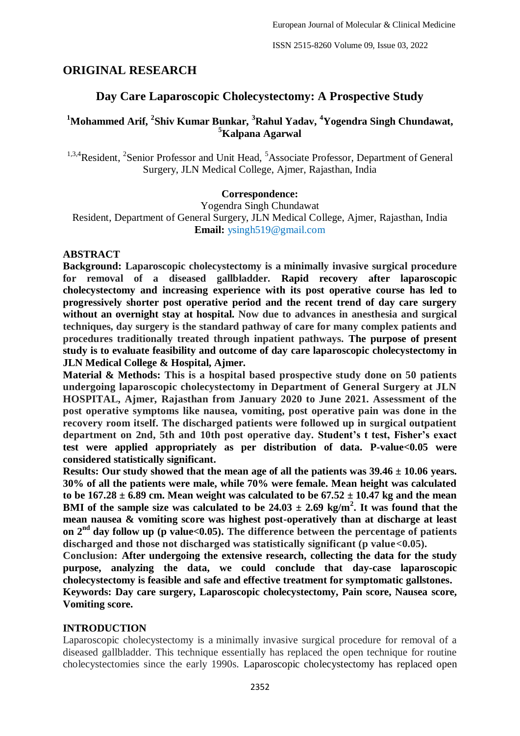# **ORIGINAL RESEARCH**

# **Day Care Laparoscopic Cholecystectomy: A Prospective Study**

# **<sup>1</sup>Mohammed Arif, <sup>2</sup> Shiv Kumar Bunkar, <sup>3</sup>Rahul Yadav, <sup>4</sup>Yogendra Singh Chundawat, <sup>5</sup>Kalpana Agarwal**

<sup>1,3,4</sup>Resident, <sup>2</sup>Senior Professor and Unit Head, <sup>5</sup>Associate Professor, Department of General Surgery, JLN Medical College, Ajmer, Rajasthan, India

## **Correspondence:**

Yogendra Singh Chundawat Resident, Department of General Surgery, JLN Medical College, Ajmer, Rajasthan, India **Email:** ysingh519@gmail.com

#### **ABSTRACT**

**Background: Laparoscopic cholecystectomy is a minimally invasive surgical procedure for removal of a diseased gallbladder. Rapid recovery after laparoscopic cholecystectomy and increasing experience with its post operative course has led to progressively shorter post operative period and the recent trend of day care surgery without an overnight stay at hospital. Now due to advances in anesthesia and surgical techniques, day surgery is the standard pathway of care for many complex patients and procedures traditionally treated through inpatient pathways. The purpose of present study is to evaluate feasibility and outcome of day care laparoscopic cholecystectomy in JLN Medical College & Hospital, Ajmer.**

**Material & Methods: This is a hospital based prospective study done on 50 patients undergoing laparoscopic cholecystectomy in Department of General Surgery at JLN HOSPITAL, Ajmer, Rajasthan from January 2020 to June 2021. Assessment of the post operative symptoms like nausea, vomiting, post operative pain was done in the recovery room itself. The discharged patients were followed up in surgical outpatient department on 2nd, 5th and 10th post operative day. Student's t test, Fisher's exact test were applied appropriately as per distribution of data. P-value<0.05 were considered statistically significant.**

**Results: Our study showed that the mean age of all the patients was 39.46 ± 10.06 years. 30% of all the patients were male, while 70% were female. Mean height was calculated**  to be  $167.28 \pm 6.89$  cm. Mean weight was calculated to be  $67.52 \pm 10.47$  kg and the mean BMI of the sample size was calculated to be  $24.03 \pm 2.69$  kg/m<sup>2</sup>. It was found that the **mean nausea & vomiting score was highest post-operatively than at discharge at least on 2nd day follow up (p value<0.05). The difference between the percentage of patients discharged and those not discharged was statistically significant (p value<0.05).**

**Conclusion: After undergoing the extensive research, collecting the data for the study purpose, analyzing the data, we could conclude that day-case laparoscopic cholecystectomy is feasible and safe and effective treatment for symptomatic gallstones. Keywords: Day care surgery, Laparoscopic cholecystectomy, Pain score, Nausea score, Vomiting score.**

#### **INTRODUCTION**

Laparoscopic cholecystectomy is a minimally invasive surgical procedure for removal of a diseased gallbladder. This technique essentially has replaced the open technique for routine cholecystectomies since the early 1990s. Laparoscopic cholecystectomy has replaced open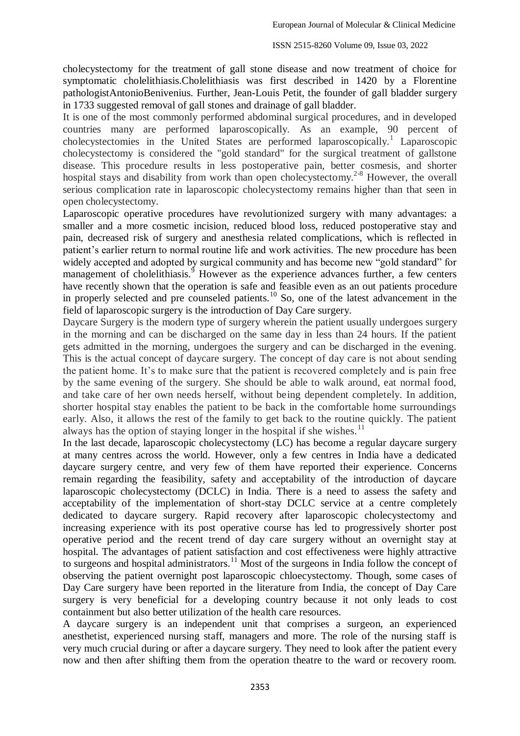cholecystectomy for the treatment of gall stone disease and now treatment of choice for symptomatic cholelithiasis.Cholelithiasis was first described in 1420 by a Florentine pathologistAntonioBenivenius. Further, Jean-Louis Petit, the founder of gall bladder surgery in 1733 suggested removal of gall stones and drainage of gall bladder.

It is one of the most commonly performed abdominal surgical procedures, and in developed countries many are performed laparoscopically. As an example, 90 percent of cholecystectomies in the United States are performed laparoscopically.<sup>1</sup> Laparoscopic cholecystectomy is considered the "gold standard" for the surgical treatment of gallstone disease. This procedure results in less postoperative pain, better cosmesis, and shorter hospital stays and disability from work than open cholecystectomy.<sup>2-8</sup> However, the overall serious complication rate in laparoscopic cholecystectomy remains higher than that seen in open cholecystectomy.

Laparoscopic operative procedures have revolutionized surgery with many advantages: a smaller and a more cosmetic incision, reduced blood loss, reduced postoperative stay and pain, decreased risk of surgery and anesthesia related complications, which is reflected in patient's earlier return to normal routine life and work activities. The new procedure has been widely accepted and adopted by surgical community and has become new "gold standard" for management of cholelithiasis.<sup>9</sup> However as the experience advances further, a few centers have recently shown that the operation is safe and feasible even as an out patients procedure in properly selected and pre counseled patients.<sup>10</sup> So, one of the latest advancement in the field of laparoscopic surgery is the introduction of Day Care surgery.

Daycare Surgery is the modern type of surgery wherein the patient usually undergoes surgery in the morning and can be discharged on the same day in less than 24 hours. If the patient gets admitted in the morning, undergoes the surgery and can be discharged in the evening. This is the actual concept of daycare surgery. The concept of day care is not about sending the patient home. It's to make sure that the patient is recovered completely and is pain free by the same evening of the surgery. She should be able to walk around, eat normal food, and take care of her own needs herself, without being dependent completely. In addition, shorter hospital stay enables the patient to be back in the comfortable home surroundings early. Also, it allows the rest of the family to get back to the routine quickly. The patient always has the option of staying longer in the hospital if she wishes.<sup>11</sup>

In the last decade, laparoscopic cholecystectomy (LC) has become a regular daycare surgery at many centres across the world. However, only a few centres in India have a dedicated daycare surgery centre, and very few of them have reported their experience. Concerns remain regarding the feasibility, safety and acceptability of the introduction of daycare laparoscopic cholecystectomy (DCLC) in India. There is a need to assess the safety and acceptability of the implementation of short-stay DCLC service at a centre completely dedicated to daycare surgery. Rapid recovery after laparoscopic cholecystectomy and increasing experience with its post operative course has led to progressively shorter post operative period and the recent trend of day care surgery without an overnight stay at hospital. The advantages of patient satisfaction and cost effectiveness were highly attractive to surgeons and hospital administrators.<sup>11</sup> Most of the surgeons in India follow the concept of observing the patient overnight post laparoscopic chloecystectomy. Though, some cases of Day Care surgery have been reported in the literature from India, the concept of Day Care surgery is very beneficial for a developing country because it not only leads to cost containment but also better utilization of the health care resources.

A daycare surgery is an independent unit that comprises a surgeon, an experienced anesthetist, experienced nursing staff, managers and more. The role of the nursing staff is very much crucial during or after a daycare surgery. They need to look after the patient every now and then after shifting them from the operation theatre to the ward or recovery room.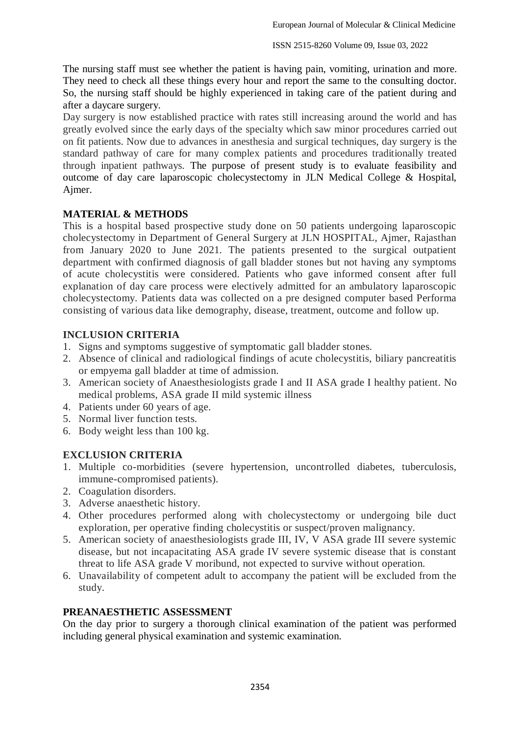The nursing staff must see whether the patient is having pain, vomiting, urination and more. They need to check all these things every hour and report the same to the consulting doctor. So, the nursing staff should be highly experienced in taking care of the patient during and after a daycare surgery.

Day surgery is now established practice with rates still increasing around the world and has greatly evolved since the early days of the specialty which saw minor procedures carried out on fit patients. Now due to advances in anesthesia and surgical techniques, day surgery is the standard pathway of care for many complex patients and procedures traditionally treated through inpatient pathways. The purpose of present study is to evaluate feasibility and outcome of day care laparoscopic cholecystectomy in JLN Medical College & Hospital, Ajmer.

# **MATERIAL & METHODS**

This is a hospital based prospective study done on 50 patients undergoing laparoscopic cholecystectomy in Department of General Surgery at JLN HOSPITAL, Ajmer, Rajasthan from January 2020 to June 2021. The patients presented to the surgical outpatient department with confirmed diagnosis of gall bladder stones but not having any symptoms of acute cholecystitis were considered. Patients who gave informed consent after full explanation of day care process were electively admitted for an ambulatory laparoscopic cholecystectomy. Patients data was collected on a pre designed computer based Performa consisting of various data like demography, disease, treatment, outcome and follow up.

## **INCLUSION CRITERIA**

- 1. Signs and symptoms suggestive of symptomatic gall bladder stones.
- 2. Absence of clinical and radiological findings of acute cholecystitis, biliary pancreatitis or empyema gall bladder at time of admission.
- 3. American society of Anaesthesiologists grade I and II ASA grade I healthy patient. No medical problems, ASA grade II mild systemic illness
- 4. Patients under 60 years of age.
- 5. Normal liver function tests.
- 6. Body weight less than 100 kg.

# **EXCLUSION CRITERIA**

- 1. Multiple co-morbidities (severe hypertension, uncontrolled diabetes, tuberculosis, immune-compromised patients).
- 2. Coagulation disorders.
- 3. Adverse anaesthetic history.
- 4. Other procedures performed along with cholecystectomy or undergoing bile duct exploration, per operative finding cholecystitis or suspect/proven malignancy.
- 5. American society of anaesthesiologists grade III, IV, V ASA grade III severe systemic disease, but not incapacitating ASA grade IV severe systemic disease that is constant threat to life ASA grade V moribund, not expected to survive without operation.
- 6. Unavailability of competent adult to accompany the patient will be excluded from the study.

#### **PREANAESTHETIC ASSESSMENT**

On the day prior to surgery a thorough clinical examination of the patient was performed including general physical examination and systemic examination.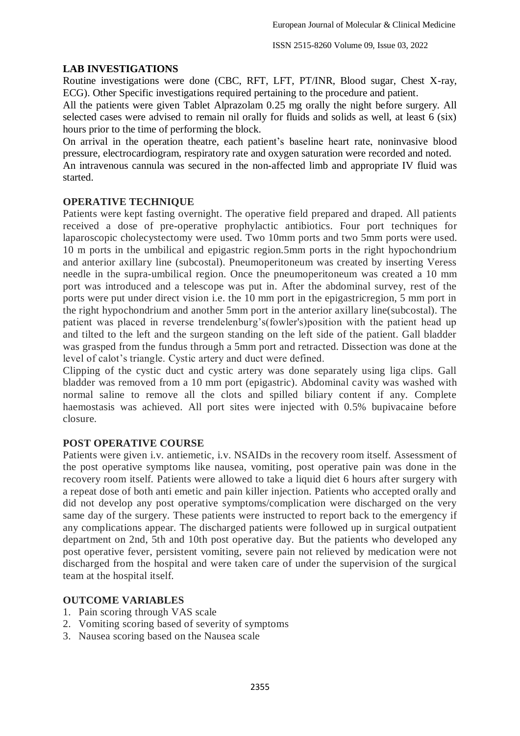## **LAB INVESTIGATIONS**

Routine investigations were done (CBC, RFT, LFT, PT/INR, Blood sugar, Chest X-ray, ECG). Other Specific investigations required pertaining to the procedure and patient.

All the patients were given Tablet Alprazolam 0.25 mg orally the night before surgery. All selected cases were advised to remain nil orally for fluids and solids as well, at least 6 (six) hours prior to the time of performing the block.

On arrival in the operation theatre, each patient's baseline heart rate, noninvasive blood pressure, electrocardiogram, respiratory rate and oxygen saturation were recorded and noted.

An intravenous cannula was secured in the non-affected limb and appropriate IV fluid was started.

#### **OPERATIVE TECHNIQUE**

Patients were kept fasting overnight. The operative field prepared and draped. All patients received a dose of pre-operative prophylactic antibiotics. Four port techniques for laparoscopic cholecystectomy were used. Two 10mm ports and two 5mm ports were used. 10 m ports in the umbilical and epigastric region.5mm ports in the right hypochondrium and anterior axillary line (subcostal). Pneumoperitoneum was created by inserting Veress needle in the supra-umbilical region. Once the pneumoperitoneum was created a 10 mm port was introduced and a telescope was put in. After the abdominal survey, rest of the ports were put under direct vision i.e. the 10 mm port in the epigastricregion, 5 mm port in the right hypochondrium and another 5mm port in the anterior axillary line(subcostal). The patient was placed in reverse trendelenburg's(fowler's)position with the patient head up and tilted to the left and the surgeon standing on the left side of the patient. Gall bladder was grasped from the fundus through a 5mm port and retracted. Dissection was done at the level of calot's triangle. Cystic artery and duct were defined.

Clipping of the cystic duct and cystic artery was done separately using liga clips. Gall bladder was removed from a 10 mm port (epigastric). Abdominal cavity was washed with normal saline to remove all the clots and spilled biliary content if any. Complete haemostasis was achieved. All port sites were injected with 0.5% bupivacaine before closure.

# **POST OPERATIVE COURSE**

Patients were given i.v. antiemetic, i.v. NSAIDs in the recovery room itself. Assessment of the post operative symptoms like nausea, vomiting, post operative pain was done in the recovery room itself. Patients were allowed to take a liquid diet 6 hours after surgery with a repeat dose of both anti emetic and pain killer injection. Patients who accepted orally and did not develop any post operative symptoms/complication were discharged on the very same day of the surgery. These patients were instructed to report back to the emergency if any complications appear. The discharged patients were followed up in surgical outpatient department on 2nd, 5th and 10th post operative day. But the patients who developed any post operative fever, persistent vomiting, severe pain not relieved by medication were not discharged from the hospital and were taken care of under the supervision of the surgical team at the hospital itself.

#### **OUTCOME VARIABLES**

- 1. Pain scoring through VAS scale
- 2. Vomiting scoring based of severity of symptoms
- 3. Nausea scoring based on the Nausea scale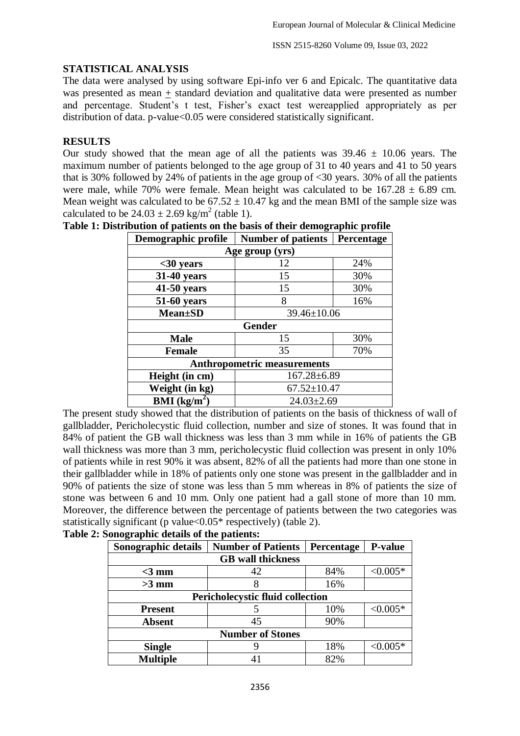## **STATISTICAL ANALYSIS**

The data were analysed by using software Epi-info ver 6 and Epicalc. The quantitative data was presented as mean + standard deviation and qualitative data were presented as number and percentage. Student's t test, Fisher's exact test wereapplied appropriately as per distribution of data. p-value<0.05 were considered statistically significant.

## **RESULTS**

Our study showed that the mean age of all the patients was  $39.46 \pm 10.06$  years. The maximum number of patients belonged to the age group of 31 to 40 years and 41 to 50 years that is 30% followed by 24% of patients in the age group of  $\langle 30 \rangle$  vears. 30% of all the patients were male, while 70% were female. Mean height was calculated to be  $167.28 \pm 6.89$  cm. Mean weight was calculated to be  $67.52 \pm 10.47$  kg and the mean BMI of the sample size was calculated to be  $24.03 \pm 2.69$  kg/m<sup>2</sup> (table 1).

| Demographic profile                | <b>Number of patients</b> | Percentage |  |  |
|------------------------------------|---------------------------|------------|--|--|
| Age group (yrs)                    |                           |            |  |  |
| $<$ 30 years                       | 12                        | 24%        |  |  |
| 31-40 years                        | 15                        | 30%        |  |  |
| 41-50 years                        | 15                        | 30%        |  |  |
| 51-60 years                        | 8                         | 16%        |  |  |
| <b>Mean</b> ±SD                    | 39.46±10.06               |            |  |  |
| <b>Gender</b>                      |                           |            |  |  |
| <b>Male</b>                        | 30%<br>15                 |            |  |  |
| <b>Female</b>                      | 35                        | 70%        |  |  |
| <b>Anthropometric measurements</b> |                           |            |  |  |
| Height (in cm)                     | 167.28±6.89               |            |  |  |
| Weight (in kg)                     | $67.52 \pm 10.47$         |            |  |  |
| <b>BMI</b> ( $kg/m2$ )             | $24.03 \pm 2.69$          |            |  |  |

**Table 1: Distribution of patients on the basis of their demographic profile**

The present study showed that the distribution of patients on the basis of thickness of wall of gallbladder, Pericholecystic fluid collection, number and size of stones. It was found that in 84% of patient the GB wall thickness was less than 3 mm while in 16% of patients the GB wall thickness was more than 3 mm, pericholecystic fluid collection was present in only 10% of patients while in rest 90% it was absent, 82% of all the patients had more than one stone in their gallbladder while in 18% of patients only one stone was present in the gallbladder and in 90% of patients the size of stone was less than 5 mm whereas in 8% of patients the size of stone was between 6 and 10 mm. Only one patient had a gall stone of more than 10 mm. Moreover, the difference between the percentage of patients between the two categories was statistically significant (p value  $0.05*$  respectively) (table 2).

## **Table 2: Sonographic details of the patients:**

| o<br>Sonographic details                | <b>Number of Patients</b> | Percentage | <b>P-value</b> |  |  |
|-----------------------------------------|---------------------------|------------|----------------|--|--|
| <b>GB</b> wall thickness                |                           |            |                |  |  |
| $<$ 3 mm                                | 42                        | 84%        | $< 0.005*$     |  |  |
| $>3$ mm                                 | 8                         | 16%        |                |  |  |
| <b>Pericholecystic fluid collection</b> |                           |            |                |  |  |
| <b>Present</b>                          |                           | 10%        | $< 0.005*$     |  |  |
| <b>Absent</b>                           | 45                        | 90%        |                |  |  |
| <b>Number of Stones</b>                 |                           |            |                |  |  |
| <b>Single</b>                           |                           | 18%        | ${<}0.005*$    |  |  |
| <b>Multiple</b>                         |                           | 82%        |                |  |  |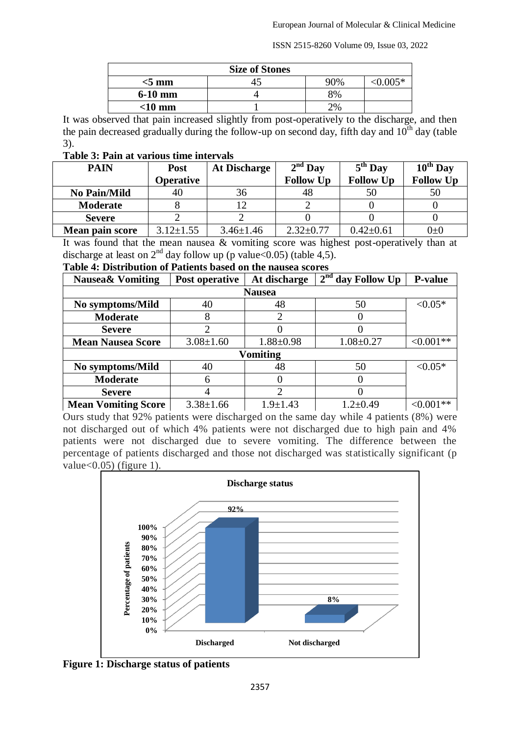ISSN 2515-8260 Volume 09, Issue 03, 2022

| <b>Size of Stones</b> |  |       |      |  |
|-----------------------|--|-------|------|--|
| $<$ 5 mm              |  | 90%   | ገበ5* |  |
| $6-10$ mm             |  | 8%    |      |  |
| $<$ 10 mm             |  | $2\%$ |      |  |

It was observed that pain increased slightly from post-operatively to the discharge, and then the pain decreased gradually during the follow-up on second day, fifth day and  $10<sup>th</sup>$  day (table 3).

### **Table 3: Pain at various time intervals**

| <b>PAIN</b>         | <b>Post</b>      | <b>At Discharge</b> | $2nd$ Day        | $5^{\text{th}}$ Day | $10^{th}$ Day    |
|---------------------|------------------|---------------------|------------------|---------------------|------------------|
|                     | <b>Operative</b> |                     | <b>Follow Up</b> | <b>Follow Up</b>    | <b>Follow Up</b> |
| <b>No Pain/Mild</b> | 40               | 36                  | 48               |                     |                  |
| Moderate            |                  |                     |                  |                     |                  |
| <b>Severe</b>       |                  |                     |                  |                     |                  |
| Mean pain score     | $3.12 \pm 1.55$  | $3.46 \pm 1.46$     | $2.32 \pm 0.77$  | $0.42 \pm 0.61$     | $0\pm 0$         |

It was found that the mean nausea & vomiting score was highest post-operatively than at discharge at least on  $2^{nd}$  day follow up (p value < 0.05) (table 4,5).

# **Table 4: Distribution of Patients based on the nausea scores**

| <b>Nausea&amp; Vomiting</b> | Post operative  | At discharge    | $2nd$ day Follow Up | <b>P-value</b> |  |
|-----------------------------|-----------------|-----------------|---------------------|----------------|--|
| <b>Nausea</b>               |                 |                 |                     |                |  |
| No symptoms/Mild            | 40              | 48              | 50                  | $< 0.05*$      |  |
| <b>Moderate</b>             |                 |                 |                     |                |  |
| <b>Severe</b>               |                 |                 |                     |                |  |
| <b>Mean Nausea Score</b>    | $3.08 \pm 1.60$ | $1.88 \pm 0.98$ | $1.08 \pm 0.27$     | $< 0.001**$    |  |
| Vomiting                    |                 |                 |                     |                |  |
| No symptoms/Mild            | 40              | 48              | 50                  | $< 0.05*$      |  |
| <b>Moderate</b>             | 6               |                 |                     |                |  |
| <b>Severe</b>               |                 | 2               |                     |                |  |
| <b>Mean Vomiting Score</b>  | $3.38 \pm 1.66$ | $1.9 \pm 1.43$  | $1.2 \pm 0.49$      | $\leq 0.001**$ |  |

Ours study that 92% patients were discharged on the same day while 4 patients (8%) were not discharged out of which 4% patients were not discharged due to high pain and 4% patients were not discharged due to severe vomiting. The difference between the percentage of patients discharged and those not discharged was statistically significant (p value $<0.05$ ) (figure 1).



**Figure 1: Discharge status of patients**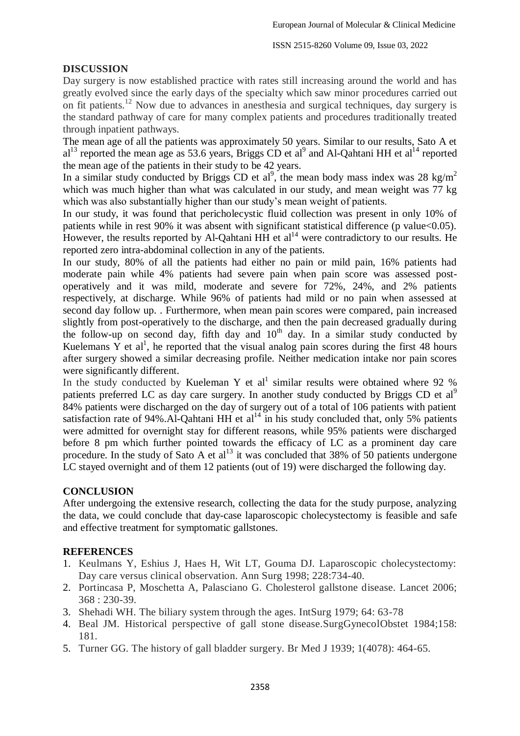## **DISCUSSION**

Day surgery is now established practice with rates still increasing around the world and has greatly evolved since the early days of the specialty which saw minor procedures carried out on fit patients.<sup>12</sup> Now due to advances in anesthesia and surgical techniques, day surgery is the standard pathway of care for many complex patients and procedures traditionally treated through inpatient pathways.

The mean age of all the patients was approximately 50 years. Similar to our results, Sato A et  $al<sup>13</sup>$  reported the mean age as 53.6 years, Briggs CD et al<sup>9</sup> and Al-Qahtani HH et al<sup>14</sup> reported the mean age of the patients in their study to be 42 years.

In a similar study conducted by Briggs CD et al<sup>9</sup>, the mean body mass index was 28 kg/m<sup>2</sup> which was much higher than what was calculated in our study, and mean weight was 77 kg which was also substantially higher than our study's mean weight of patients.

In our study, it was found that pericholecystic fluid collection was present in only 10% of patients while in rest 90% it was absent with significant statistical difference (p value<0.05). However, the results reported by Al-Qahtani  $HH$  et al<sup>14</sup> were contradictory to our results. He reported zero intra-abdominal collection in any of the patients.

In our study, 80% of all the patients had either no pain or mild pain, 16% patients had moderate pain while 4% patients had severe pain when pain score was assessed postoperatively and it was mild, moderate and severe for 72%, 24%, and 2% patients respectively, at discharge. While 96% of patients had mild or no pain when assessed at second day follow up. . Furthermore, when mean pain scores were compared, pain increased slightly from post-operatively to the discharge, and then the pain decreased gradually during the follow-up on second day, fifth day and  $10<sup>th</sup>$  day. In a similar study conducted by Kuelemans Y et al<sup>1</sup>, he reported that the visual analog pain scores during the first 48 hours after surgery showed a similar decreasing profile. Neither medication intake nor pain scores were significantly different.

In the study conducted by Kueleman Y et al<sup>1</sup> similar results were obtained where 92 % patients preferred LC as day care surgery. In another study conducted by Briggs CD et al<sup>9</sup> 84% patients were discharged on the day of surgery out of a total of 106 patients with patient satisfaction rate of 94%. Al-Qahtani HH et  $al<sup>14</sup>$  in his study concluded that, only 5% patients were admitted for overnight stay for different reasons, while 95% patients were discharged before 8 pm which further pointed towards the efficacy of LC as a prominent day care procedure. In the study of Sato A et  $al<sup>13</sup>$  it was concluded that 38% of 50 patients undergone LC stayed overnight and of them 12 patients (out of 19) were discharged the following day.

# **CONCLUSION**

After undergoing the extensive research, collecting the data for the study purpose, analyzing the data, we could conclude that day-case laparoscopic cholecystectomy is feasible and safe and effective treatment for symptomatic gallstones.

#### **REFERENCES**

- 1. Keulmans Y, Eshius J, Haes H, Wit LT, Gouma DJ. Laparoscopic cholecystectomy: Day care versus clinical observation. Ann Surg 1998; 228:734-40.
- 2. Portincasa P, Moschetta A, Palasciano G. Cholesterol gallstone disease. Lancet 2006; 368 : 230-39.
- 3. Shehadi WH. The biliary system through the ages. IntSurg 1979; 64: 63-78
- 4. Beal JM. Historical perspective of gall stone disease.SurgGynecolObstet 1984;158: 181.
- 5. Turner GG. The history of gall bladder surgery. Br Med J 1939; 1(4078): 464-65.